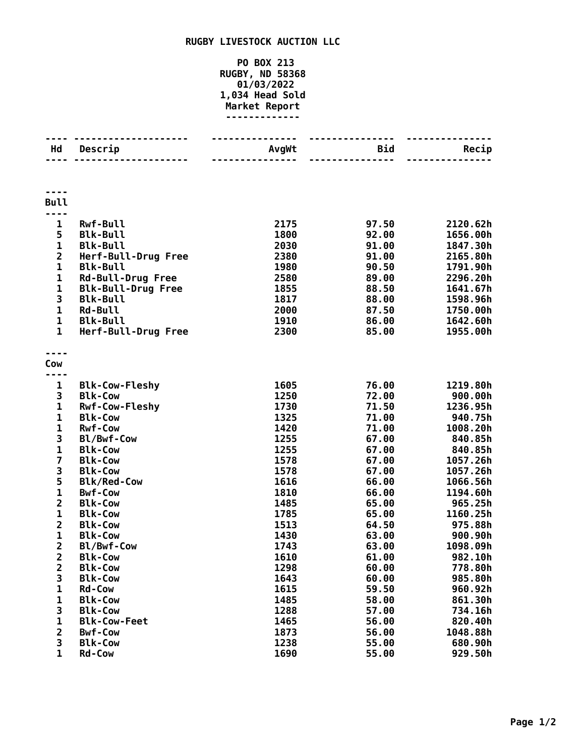## **RUGBY LIVESTOCK AUCTION LLC**

## **PO BOX 213 RUGBY, ND 58368 01/03/2022 1,034 Head Sold Market Report -------------**

| Hd                      | Descrip                                 | AvgWt        | <b>Bid</b>      | Recip               |
|-------------------------|-----------------------------------------|--------------|-----------------|---------------------|
|                         | ---------                               |              | $- - - - - - -$ |                     |
| <b>Bull</b>             |                                         |              |                 |                     |
|                         |                                         |              |                 |                     |
| $\mathbf{1}$            | <b>Rwf-Bull</b>                         | 2175         | 97.50           | 2120.62h            |
| 5                       | <b>Blk-Bull</b>                         | 1800         | 92.00           | 1656.00h            |
| 1                       | <b>Blk-Bull</b>                         | 2030         | 91.00           | 1847.30h            |
| $\overline{\mathbf{2}}$ | Herf-Bull-Drug Free                     | 2380         | 91.00           | 2165.80h            |
| $\mathbf{1}$            | <b>Blk-Bull</b>                         | 1980         | 90.50           | 1791.90h            |
| $\mathbf 1$             | <b>Rd-Bull-Drug Free</b>                | 2580         | 89.00           | 2296.20h            |
| $\mathbf 1$             | <b>Blk-Bull-Drug Free</b>               | 1855         | 88.50           | 1641.67h            |
| 3                       | <b>Blk-Bull</b>                         | 1817         | 88.00           | 1598.96h            |
| 1                       | <b>Rd-Bull</b>                          | 2000         | 87.50           | 1750.00h            |
| $\mathbf{1}$            | <b>Blk-Bull</b>                         | 1910         | 86.00           | 1642.60h            |
| $\mathbf{1}$            | Herf-Bull-Drug Free                     | 2300         | 85.00           | 1955.00h            |
|                         |                                         |              |                 |                     |
| Cow                     |                                         |              |                 |                     |
|                         |                                         |              |                 |                     |
| $\mathbf{1}$            | <b>Blk-Cow-Fleshy</b>                   | 1605<br>1250 | 76.00           | 1219.80h<br>900.00h |
| 3<br>$\mathbf{1}$       | <b>Blk-Cow</b><br><b>Rwf-Cow-Fleshy</b> | 1730         | 72.00<br>71.50  | 1236.95h            |
| $\mathbf 1$             | <b>Blk-Cow</b>                          | 1325         | 71.00           | 940.75h             |
| $\mathbf{1}$            | <b>Rwf-Cow</b>                          | 1420         | 71.00           | 1008.20h            |
| 3                       | Bl/Bwf-Cow                              | 1255         | 67.00           | 840.85h             |
| $\mathbf{1}$            | <b>Blk-Cow</b>                          | 1255         | 67.00           | 840.85h             |
| 7                       | <b>Blk-Cow</b>                          | 1578         | 67.00           | 1057.26h            |
| 3                       | <b>Blk-Cow</b>                          | 1578         | 67.00           | 1057.26h            |
| 5                       | <b>Blk/Red-Cow</b>                      | 1616         | 66.00           | 1066.56h            |
| 1                       | <b>Bwf-Cow</b>                          | 1810         | 66.00           | 1194.60h            |
| $\overline{\mathbf{c}}$ | <b>Blk-Cow</b>                          | 1485         | 65.00           | 965.25h             |
| $\mathbf{1}$            | <b>Blk-Cow</b>                          | 1785         | 65.00           | 1160.25h            |
| $\overline{2}$          | <b>Blk-Cow</b>                          | 1513         | 64.50           | 975.88h             |
| $\mathbf 1$             | <b>Blk-Cow</b>                          | 1430         | 63.00           | 900.90h             |
| $\overline{2}$          | Bl/Bwf-Cow                              | 1743         | 63.00           | 1098.09h            |
| $\overline{\mathbf{c}}$ | <b>Blk-Cow</b>                          | 1610         | 61.00           | 982.10h             |
| $\overline{\mathbf{c}}$ | <b>Blk-Cow</b>                          | 1298         | 60.00           | 778.80h             |
| 3                       | <b>Blk-Cow</b>                          | 1643         | 60.00           | 985.80h             |
| 1                       | <b>Rd-Cow</b>                           | 1615         | 59.50           | 960.92h             |
| 1                       | <b>Blk-Cow</b>                          | 1485         | 58.00           | 861.30h             |
| 3                       | <b>Blk-Cow</b>                          | 1288         | 57.00           | 734.16h             |
| $\mathbf 1$             | <b>Blk-Cow-Feet</b>                     | 1465         | 56.00           | 820.40h             |
| $\overline{\mathbf{c}}$ | <b>Bwf-Cow</b>                          | 1873         | 56.00           | 1048.88h            |
| 3                       | <b>Blk-Cow</b>                          | 1238         | 55.00           | 680.90h             |
| $\mathbf 1$             | <b>Rd-Cow</b>                           | 1690         | 55.00           | 929.50h             |